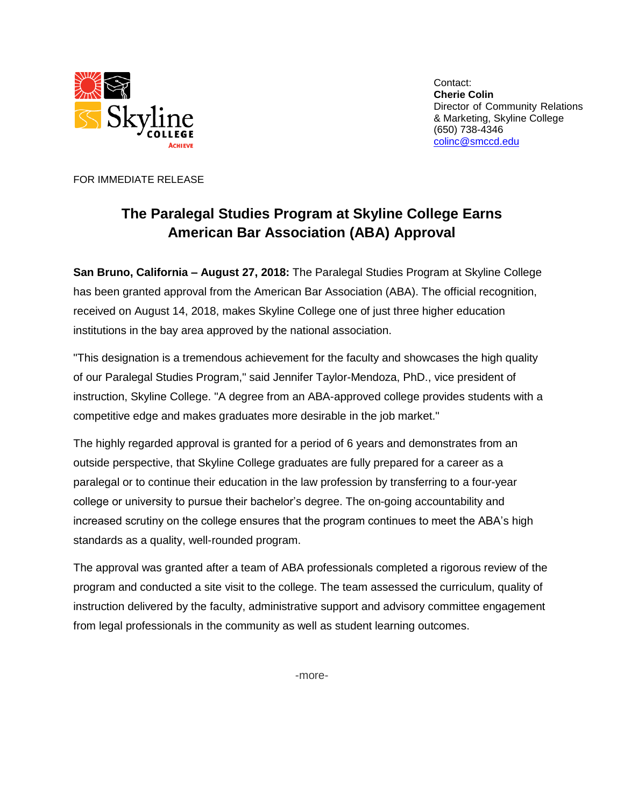

Contact: **Cherie Colin** Director of Community Relations & Marketing, Skyline College (650) 738-4346 [colinc@smccd.edu](mailto:colinc@smccd.edu)

FOR IMMEDIATE RELEASE

## **The Paralegal Studies Program at Skyline College Earns American Bar Association (ABA) Approval**

**San Bruno, California – August 27, 2018:** The Paralegal Studies Program at Skyline College has been granted approval from the American Bar Association (ABA). The official recognition, received on August 14, 2018, makes Skyline College one of just three higher education institutions in the bay area approved by the national association.

"This designation is a tremendous achievement for the faculty and showcases the high quality of our Paralegal Studies Program," said Jennifer Taylor-Mendoza, PhD., vice president of instruction, Skyline College. "A degree from an ABA-approved college provides students with a competitive edge and makes graduates more desirable in the job market."

The highly regarded approval is granted for a period of 6 years and demonstrates from an outside perspective, that Skyline College graduates are fully prepared for a career as a paralegal or to continue their education in the law profession by transferring to a four-year college or university to pursue their bachelor's degree. The on-going accountability and increased scrutiny on the college ensures that the program continues to meet the ABA's high standards as a quality, well-rounded program.

The approval was granted after a team of ABA professionals completed a rigorous review of the program and conducted a site visit to the college. The team assessed the curriculum, quality of instruction delivered by the faculty, administrative support and advisory committee engagement from legal professionals in the community as well as student learning outcomes.

-more-